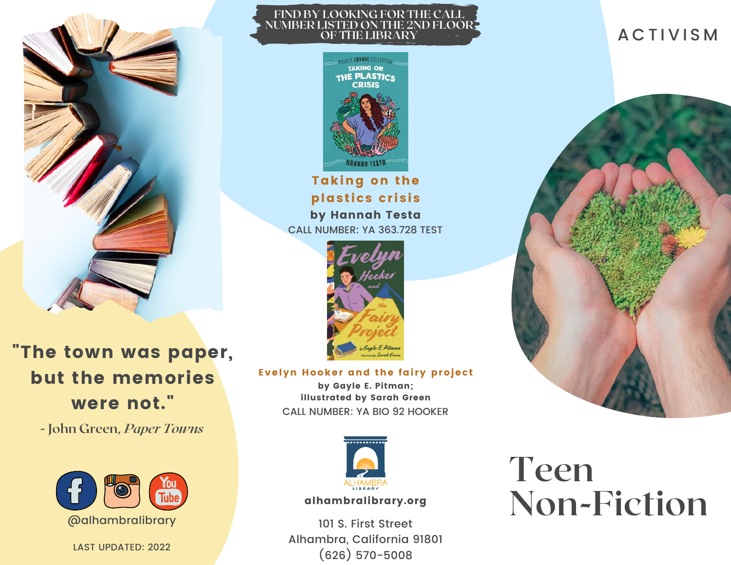

#### **FIND BY LOOKING FOR THE CALL NUMBER LISTED ON THE 2ND FLOOR OF THE LIBRARY**



Taking on the plastics crisis by Hannah Testa CALL NUMBER: YA 363.728 TEST



"The town was paper, but the memories were not."

**- John Green,** *Paper Towns*



LAST UPDATED: 2022

Evelyn Hooker and the fairy project by Gayle E. Pitman; illustrated by Sarah Green

CALL NUMBER: YA BIO 92 HOOKER



#### alhambralibrary.org

101 S. First Street Alhambra, California 91801 (626) 570-5008

# **Teen Non-Fiction**

# **ACTIVISM**